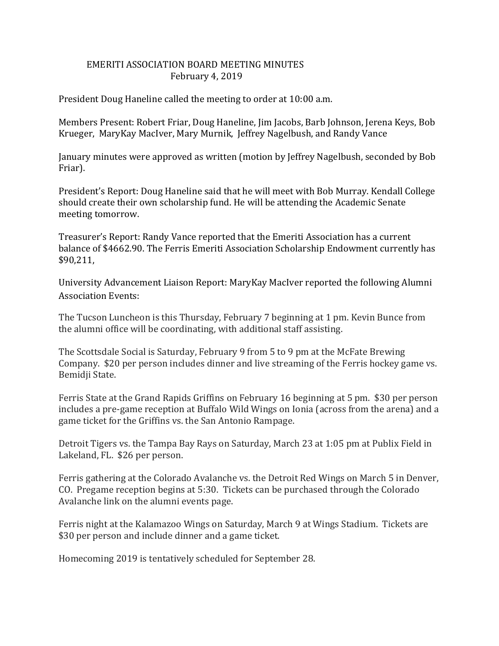## EMERITI ASSOCIATION BOARD MEETING MINUTES February 4, 2019

President Doug Haneline called the meeting to order at 10:00 a.m.

Members Present: Robert Friar, Doug Haneline, Jim Jacobs, Barb Johnson, Jerena Keys, Bob Krueger, MaryKay MacIver, Mary Murnik, Jeffrey Nagelbush, and Randy Vance

January minutes were approved as written (motion by Jeffrey Nagelbush, seconded by Bob Friar).

President's Report: Doug Haneline said that he will meet with Bob Murray. Kendall College should create their own scholarship fund. He will be attending the Academic Senate meeting tomorrow.

Treasurer's Report: Randy Vance reported that the Emeriti Association has a current balance of \$4662.90. The Ferris Emeriti Association Scholarship Endowment currently has \$90,211,

University Advancement Liaison Report: MaryKay MacIver reported the following Alumni Association Events:

The Tucson Luncheon is this Thursday, February 7 beginning at 1 pm. Kevin Bunce from the alumni office will be coordinating, with additional staff assisting.

The Scottsdale Social is Saturday, February 9 from 5 to 9 pm at the McFate Brewing Company. \$20 per person includes dinner and live streaming of the Ferris hockey game vs. Bemidji State.

Ferris State at the Grand Rapids Griffins on February 16 beginning at 5 pm. \$30 per person includes a pre-game reception at Buffalo Wild Wings on Ionia (across from the arena) and a game ticket for the Griffins vs. the San Antonio Rampage.

Detroit Tigers vs. the Tampa Bay Rays on Saturday, March 23 at 1:05 pm at Publix Field in Lakeland, FL. \$26 per person.

Ferris gathering at the Colorado Avalanche vs. the Detroit Red Wings on March 5 in Denver, CO. Pregame reception begins at 5:30. Tickets can be purchased through the Colorado Avalanche link on the alumni events page.

Ferris night at the Kalamazoo Wings on Saturday, March 9 at Wings Stadium. Tickets are \$30 per person and include dinner and a game ticket.

Homecoming 2019 is tentatively scheduled for September 28.